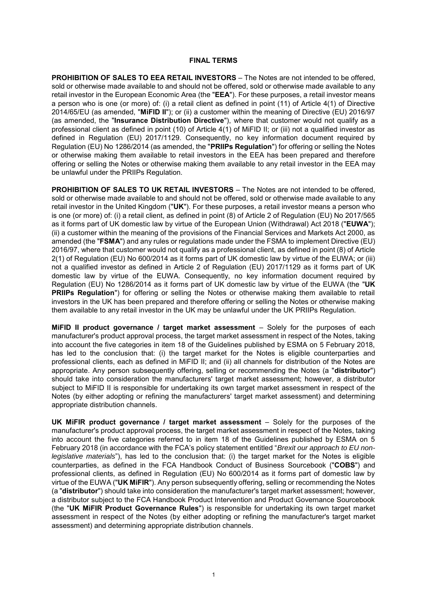### **FINAL TERMS**

**PROHIBITION OF SALES TO EEA RETAIL INVESTORS** – The Notes are not intended to be offered, sold or otherwise made available to and should not be offered, sold or otherwise made available to any retail investor in the European Economic Area (the "**EEA**"). For these purposes, a retail investor means a person who is one (or more) of: (i) a retail client as defined in point (11) of Article 4(1) of Directive 2014/65/EU (as amended, "**MiFID II**"); or (ii) a customer within the meaning of Directive (EU) 2016/97 (as amended, the "**Insurance Distribution Directive**"), where that customer would not qualify as a professional client as defined in point (10) of Article 4(1) of MiFID II; or (iii) not a qualified investor as defined in Regulation (EU) 2017/1129. Consequently, no key information document required by Regulation (EU) No 1286/2014 (as amended, the "**PRIIPs Regulation**") for offering or selling the Notes or otherwise making them available to retail investors in the EEA has been prepared and therefore offering or selling the Notes or otherwise making them available to any retail investor in the EEA may be unlawful under the PRIIPs Regulation.

**PROHIBITION OF SALES TO UK RETAIL INVESTORS** – The Notes are not intended to be offered, sold or otherwise made available to and should not be offered, sold or otherwise made available to any retail investor in the United Kingdom ("**UK**"). For these purposes, a retail investor means a person who is one (or more) of: (i) a retail client, as defined in point (8) of Article 2 of Regulation (EU) No 2017/565 as it forms part of UK domestic law by virtue of the European Union (Withdrawal) Act 2018 ("**EUWA**"); (ii) a customer within the meaning of the provisions of the Financial Services and Markets Act 2000, as amended (the "**FSMA**") and any rules or regulations made under the FSMA to implement Directive (EU) 2016/97, where that customer would not qualify as a professional client, as defined in point (8) of Article 2(1) of Regulation (EU) No 600/2014 as it forms part of UK domestic law by virtue of the EUWA; or (iii) not a qualified investor as defined in Article 2 of Regulation (EU) 2017/1129 as it forms part of UK domestic law by virtue of the EUWA. Consequently, no key information document required by Regulation (EU) No 1286/2014 as it forms part of UK domestic law by virtue of the EUWA (the "**UK PRIIPs Regulation**") for offering or selling the Notes or otherwise making them available to retail investors in the UK has been prepared and therefore offering or selling the Notes or otherwise making them available to any retail investor in the UK may be unlawful under the UK PRIIPs Regulation.

**MiFID II product governance / target market assessment** – Solely for the purposes of each manufacturer's product approval process, the target market assessment in respect of the Notes, taking into account the five categories in item 18 of the Guidelines published by ESMA on 5 February 2018, has led to the conclusion that: (i) the target market for the Notes is eligible counterparties and professional clients, each as defined in MiFID II; and (ii) all channels for distribution of the Notes are appropriate. Any person subsequently offering, selling or recommending the Notes (a "**distributor**") should take into consideration the manufacturers' target market assessment; however, a distributor subject to MiFID II is responsible for undertaking its own target market assessment in respect of the Notes (by either adopting or refining the manufacturers' target market assessment) and determining appropriate distribution channels.

**UK MiFIR product governance / target market assessment** – Solely for the purposes of the manufacturer's product approval process, the target market assessment in respect of the Notes, taking into account the five categories referred to in item 18 of the Guidelines published by ESMA on 5 February 2018 (in accordance with the FCA's policy statement entitled "*Brexit our approach to EU nonlegislative materials*"), has led to the conclusion that: (i) the target market for the Notes is eligible counterparties, as defined in the FCA Handbook Conduct of Business Sourcebook ("**COBS**") and professional clients, as defined in Regulation (EU) No 600/2014 as it forms part of domestic law by virtue of the EUWA ("**UK MiFIR**"). Any person subsequently offering, selling or recommending the Notes (a "**distributor**") should take into consideration the manufacturer's target market assessment; however, a distributor subject to the FCA Handbook Product Intervention and Product Governance Sourcebook (the "**UK MiFIR Product Governance Rules**") is responsible for undertaking its own target market assessment in respect of the Notes (by either adopting or refining the manufacturer's target market assessment) and determining appropriate distribution channels.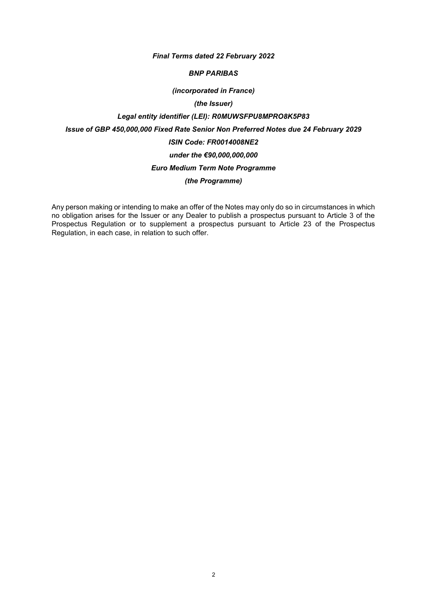### *Final Terms dated 22 February 2022*

### *BNP PARIBAS*

### *(incorporated in France)*

## *(the Issuer)*

# *Legal entity identifier (LEI): R0MUWSFPU8MPRO8K5P83 Issue of GBP 450,000,000 Fixed Rate Senior Non Preferred Notes due 24 February 2029 ISIN Code: FR0014008NE2 under the €90,000,000,000 Euro Medium Term Note Programme (the Programme)*

Any person making or intending to make an offer of the Notes may only do so in circumstances in which no obligation arises for the Issuer or any Dealer to publish a prospectus pursuant to Article 3 of the Prospectus Regulation or to supplement a prospectus pursuant to Article 23 of the Prospectus Regulation, in each case, in relation to such offer.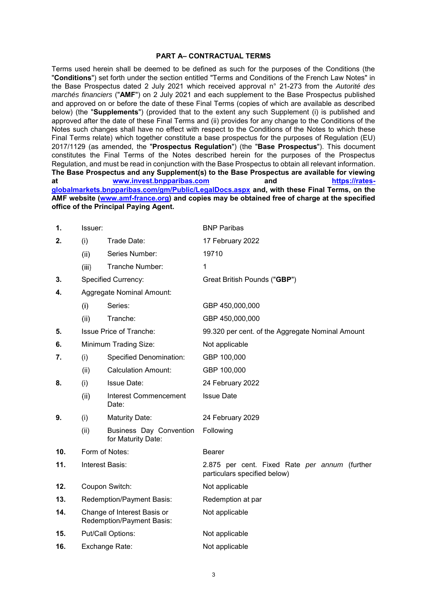#### **PART A– CONTRACTUAL TERMS**

Terms used herein shall be deemed to be defined as such for the purposes of the Conditions (the "**Conditions**") set forth under the section entitled "Terms and Conditions of the French Law Notes" in the Base Prospectus dated 2 July 2021 which received approval n° 21-273 from the *Autorité des marchés financiers* ("**AMF**") on 2 July 2021 and each supplement to the Base Prospectus published and approved on or before the date of these Final Terms (copies of which are available as described below) (the "**Supplements**") (provided that to the extent any such Supplement (i) is published and approved after the date of these Final Terms and (ii) provides for any change to the Conditions of the Notes such changes shall have no effect with respect to the Conditions of the Notes to which these Final Terms relate) which together constitute a base prospectus for the purposes of Regulation (EU) 2017/1129 (as amended, the "**Prospectus Regulation**") (the "**Base Prospectus**"). This document constitutes the Final Terms of the Notes described herein for the purposes of the Prospectus Regulation, and must be read in conjunction with the Base Prospectus to obtain all relevant information. **The Base Prospectus and any Supplement(s) to the Base Prospectus are available for viewing at [www.invest.bnpparibas.com](http://www.invest.bnpparibas.com/) and [https://rates](https://rates-globalmarkets.bnpparibas.com/gm/Public/LegalDocs.aspx)[globalmarkets.bnpparibas.com/gm/Public/LegalDocs.aspx](https://rates-globalmarkets.bnpparibas.com/gm/Public/LegalDocs.aspx) and, with these Final Terms, on the AMF website [\(www.amf-france.org\)](http://www.amf-france.org/) and copies may be obtained free of charge at the specified office of the Principal Paying Agent.**

| 1.  | Issuer:           |                                                          | <b>BNP Paribas</b>                                                            |
|-----|-------------------|----------------------------------------------------------|-------------------------------------------------------------------------------|
| 2.  | (i)               | Trade Date:                                              | 17 February 2022                                                              |
|     | (ii)              | Series Number:                                           | 19710                                                                         |
|     | (iii)             | Tranche Number:                                          | 1                                                                             |
| 3.  |                   | <b>Specified Currency:</b>                               | Great British Pounds ("GBP")                                                  |
| 4.  |                   | <b>Aggregate Nominal Amount:</b>                         |                                                                               |
|     | (i)               | Series:                                                  | GBP 450,000,000                                                               |
|     | (ii)              | Tranche:                                                 | GBP 450,000,000                                                               |
| 5.  |                   | <b>Issue Price of Tranche:</b>                           | 99.320 per cent. of the Aggregate Nominal Amount                              |
| 6.  |                   | Minimum Trading Size:                                    | Not applicable                                                                |
| 7.  | (i)               | <b>Specified Denomination:</b>                           | GBP 100,000                                                                   |
|     | (ii)              | <b>Calculation Amount:</b>                               | GBP 100,000                                                                   |
| 8.  | (i)               | <b>Issue Date:</b>                                       | 24 February 2022                                                              |
|     | (ii)              | <b>Interest Commencement</b><br>Date:                    | <b>Issue Date</b>                                                             |
| 9.  | (i)               | <b>Maturity Date:</b>                                    | 24 February 2029                                                              |
|     | (ii)              | Business Day Convention<br>for Maturity Date:            | Following                                                                     |
| 10. |                   | Form of Notes:                                           | <b>Bearer</b>                                                                 |
| 11. |                   | Interest Basis:                                          | 2.875 per cent. Fixed Rate per annum (further<br>particulars specified below) |
| 12. |                   | Coupon Switch:                                           | Not applicable                                                                |
| 13. |                   | Redemption/Payment Basis:                                | Redemption at par                                                             |
| 14. |                   | Change of Interest Basis or<br>Redemption/Payment Basis: | Not applicable                                                                |
| 15. | Put/Call Options: |                                                          | Not applicable                                                                |
| 16. | Exchange Rate:    |                                                          | Not applicable                                                                |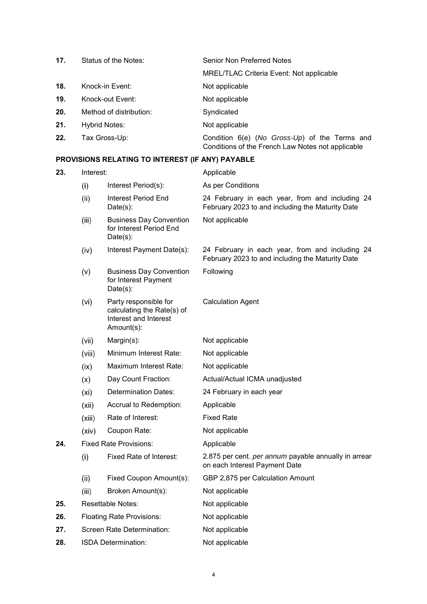| 17. | Status of the Notes:    | Senior Non Preferred Notes                                                                         |
|-----|-------------------------|----------------------------------------------------------------------------------------------------|
|     |                         | <b>MREL/TLAC Criteria Event: Not applicable</b>                                                    |
| 18. | Knock-in Event:         | Not applicable                                                                                     |
| 19. | Knock-out Event:        | Not applicable                                                                                     |
| 20. | Method of distribution: | Syndicated                                                                                         |
| 21. | <b>Hybrid Notes:</b>    | Not applicable                                                                                     |
| 22. | Tax Gross-Up:           | Condition 6(e) (No Gross-Up) of the Terms and<br>Conditions of the French Law Notes not applicable |

# **PROVISIONS RELATING TO INTEREST (IF ANY) PAYABLE**

| 23. | Interest:                     |                                                                                            | Applicable                                                                                          |
|-----|-------------------------------|--------------------------------------------------------------------------------------------|-----------------------------------------------------------------------------------------------------|
|     | (i)                           | Interest Period(s):                                                                        | As per Conditions                                                                                   |
|     | (ii)                          | Interest Period End<br>$Date(s)$ :                                                         | 24 February in each year, from and including 24<br>February 2023 to and including the Maturity Date |
|     | (iii)                         | <b>Business Day Convention</b><br>for Interest Period End<br>$Date(s)$ :                   | Not applicable                                                                                      |
|     | (iv)                          | Interest Payment Date(s):                                                                  | 24 February in each year, from and including 24<br>February 2023 to and including the Maturity Date |
|     | (v)                           | <b>Business Day Convention</b><br>for Interest Payment<br>$Date(s)$ :                      | Following                                                                                           |
|     | (vi)                          | Party responsible for<br>calculating the Rate(s) of<br>Interest and Interest<br>Amount(s): | <b>Calculation Agent</b>                                                                            |
|     | (vii)                         | Margin(s):                                                                                 | Not applicable                                                                                      |
|     | (viii)                        | Minimum Interest Rate:                                                                     | Not applicable                                                                                      |
|     | (ix)                          | Maximum Interest Rate:                                                                     | Not applicable                                                                                      |
|     | (x)                           | Day Count Fraction:                                                                        | Actual/Actual ICMA unadjusted                                                                       |
|     | (x <sub>i</sub> )             | Determination Dates:                                                                       | 24 February in each year                                                                            |
|     | (xii)                         | Accrual to Redemption:                                                                     | Applicable                                                                                          |
|     | (xiii)                        | Rate of Interest:                                                                          | <b>Fixed Rate</b>                                                                                   |
|     | (xiv)                         | Coupon Rate:                                                                               | Not applicable                                                                                      |
| 24. | <b>Fixed Rate Provisions:</b> |                                                                                            | Applicable                                                                                          |
|     | (i)                           | Fixed Rate of Interest:                                                                    | 2.875 per cent. per annum payable annually in arrear<br>on each Interest Payment Date               |
|     | (ii)                          | Fixed Coupon Amount(s):                                                                    | GBP 2,875 per Calculation Amount                                                                    |
|     | (iii)                         | Broken Amount(s):                                                                          | Not applicable                                                                                      |
| 25. |                               | <b>Resettable Notes:</b>                                                                   | Not applicable                                                                                      |
| 26. |                               | <b>Floating Rate Provisions:</b>                                                           | Not applicable                                                                                      |
| 27. |                               | Screen Rate Determination:                                                                 | Not applicable                                                                                      |
| 28. |                               | <b>ISDA Determination:</b>                                                                 | Not applicable                                                                                      |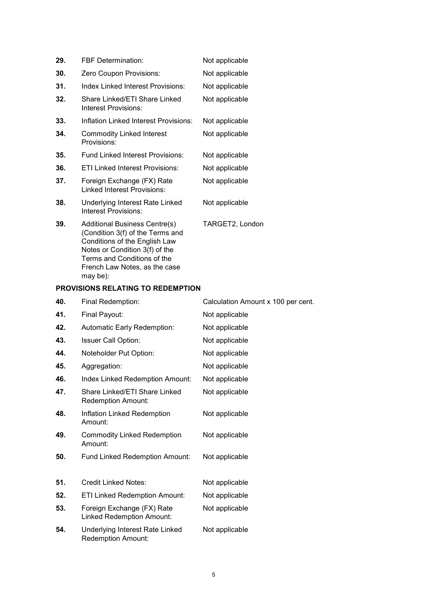| 29. | <b>FBF Determination:</b><br>Not applicable                                                                                                                                |                 |
|-----|----------------------------------------------------------------------------------------------------------------------------------------------------------------------------|-----------------|
| 30. | Zero Coupon Provisions:                                                                                                                                                    | Not applicable  |
| 31. | <b>Index Linked Interest Provisions:</b>                                                                                                                                   | Not applicable  |
| 32. | Share Linked/ETI Share Linked<br>Interest Provisions:                                                                                                                      | Not applicable  |
| 33. | Inflation Linked Interest Provisions:                                                                                                                                      | Not applicable  |
| 34. | <b>Commodity Linked Interest</b><br>Provisions:                                                                                                                            | Not applicable  |
| 35. | Fund Linked Interest Provisions:                                                                                                                                           | Not applicable  |
| 36. | ETI Linked Interest Provisions:                                                                                                                                            | Not applicable  |
| 37. | Foreign Exchange (FX) Rate<br><b>Linked Interest Provisions:</b>                                                                                                           | Not applicable  |
| 38. | Underlying Interest Rate Linked<br>Interest Provisions:                                                                                                                    | Not applicable  |
| 39. | <b>Additional Business Centre(s)</b><br>(Condition 3(f) of the Terms and<br>Conditions of the English Law<br>Notes or Condition 3(f) of the<br>Terms and Conditions of the | TARGET2, London |

# **PROVISIONS RELATING TO REDEMPTION**

may be):

French Law Notes, as the case

| 40. | Final Redemption:                                                   | Calculation Amount x 100 per cent. |
|-----|---------------------------------------------------------------------|------------------------------------|
| 41. | Final Payout:                                                       | Not applicable                     |
| 42. | Automatic Early Redemption:                                         | Not applicable                     |
| 43. | <b>Issuer Call Option:</b>                                          | Not applicable                     |
| 44. | Noteholder Put Option:                                              | Not applicable                     |
| 45. | Aggregation:                                                        | Not applicable                     |
| 46. | Index Linked Redemption Amount:                                     | Not applicable                     |
| 47. | Share Linked/ETI Share Linked<br>Redemption Amount:                 | Not applicable                     |
| 48. | Inflation Linked Redemption<br>Amount:                              | Not applicable                     |
| 49. | <b>Commodity Linked Redemption</b><br>Amount:                       | Not applicable                     |
| 50. | <b>Fund Linked Redemption Amount:</b>                               | Not applicable                     |
| 51. | <b>Credit Linked Notes:</b>                                         | Not applicable                     |
| 52. | <b>ETI Linked Redemption Amount:</b>                                | Not applicable                     |
| 53. | Foreign Exchange (FX) Rate<br><b>Linked Redemption Amount:</b>      | Not applicable                     |
| 54. | <b>Underlying Interest Rate Linked</b><br><b>Redemption Amount:</b> | Not applicable                     |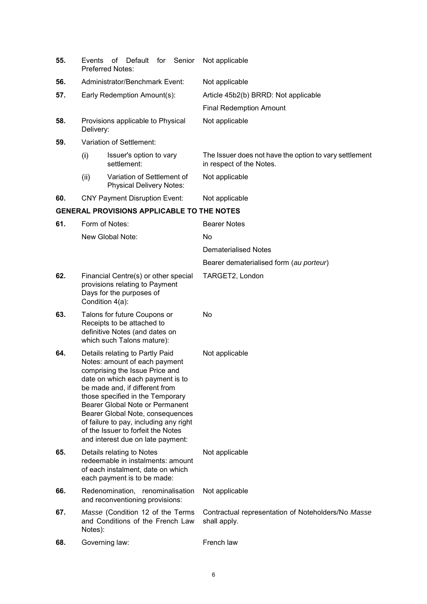| 55. | for<br>οf<br>Default<br>Senior<br>Events<br>Preferred Notes:                                                                                                                                                                                                                                                                                                                                             | Not applicable                                                                     |
|-----|----------------------------------------------------------------------------------------------------------------------------------------------------------------------------------------------------------------------------------------------------------------------------------------------------------------------------------------------------------------------------------------------------------|------------------------------------------------------------------------------------|
| 56. | Administrator/Benchmark Event:                                                                                                                                                                                                                                                                                                                                                                           | Not applicable                                                                     |
| 57. | Early Redemption Amount(s):                                                                                                                                                                                                                                                                                                                                                                              | Article 45b2(b) BRRD: Not applicable                                               |
|     |                                                                                                                                                                                                                                                                                                                                                                                                          | <b>Final Redemption Amount</b>                                                     |
| 58. | Provisions applicable to Physical<br>Delivery:                                                                                                                                                                                                                                                                                                                                                           | Not applicable                                                                     |
| 59. | Variation of Settlement:                                                                                                                                                                                                                                                                                                                                                                                 |                                                                                    |
|     | (i)<br>Issuer's option to vary<br>settlement:                                                                                                                                                                                                                                                                                                                                                            | The Issuer does not have the option to vary settlement<br>in respect of the Notes. |
|     | (ii)<br>Variation of Settlement of<br><b>Physical Delivery Notes:</b>                                                                                                                                                                                                                                                                                                                                    | Not applicable                                                                     |
| 60. | <b>CNY Payment Disruption Event:</b>                                                                                                                                                                                                                                                                                                                                                                     | Not applicable                                                                     |
|     | <b>GENERAL PROVISIONS APPLICABLE TO THE NOTES</b>                                                                                                                                                                                                                                                                                                                                                        |                                                                                    |
| 61. | Form of Notes:                                                                                                                                                                                                                                                                                                                                                                                           | <b>Bearer Notes</b>                                                                |
|     | New Global Note:                                                                                                                                                                                                                                                                                                                                                                                         | No                                                                                 |
|     |                                                                                                                                                                                                                                                                                                                                                                                                          | <b>Dematerialised Notes</b>                                                        |
|     |                                                                                                                                                                                                                                                                                                                                                                                                          | Bearer dematerialised form (au porteur)                                            |
| 62. | Financial Centre(s) or other special<br>provisions relating to Payment<br>Days for the purposes of<br>Condition 4(a):                                                                                                                                                                                                                                                                                    | TARGET2, London                                                                    |
| 63. | Talons for future Coupons or<br>Receipts to be attached to<br>definitive Notes (and dates on<br>which such Talons mature):                                                                                                                                                                                                                                                                               | No                                                                                 |
| 64. | Details relating to Partly Paid<br>Notes: amount of each payment<br>comprising the Issue Price and<br>date on which each payment is to<br>be made and, if different from<br>those specified in the Temporary<br>Bearer Global Note or Permanent<br>Bearer Global Note, consequences<br>of failure to pay, including any right<br>of the Issuer to forfeit the Notes<br>and interest due on late payment: | Not applicable                                                                     |
| 65. | Details relating to Notes<br>redeemable in instalments: amount<br>of each instalment, date on which<br>each payment is to be made:                                                                                                                                                                                                                                                                       | Not applicable                                                                     |
| 66. | Redenomination, renominalisation<br>and reconventioning provisions:                                                                                                                                                                                                                                                                                                                                      | Not applicable                                                                     |
| 67. | Masse (Condition 12 of the Terms<br>and Conditions of the French Law<br>Notes):                                                                                                                                                                                                                                                                                                                          | Contractual representation of Noteholders/No Masse<br>shall apply.                 |
| 68. | Governing law:                                                                                                                                                                                                                                                                                                                                                                                           | French law                                                                         |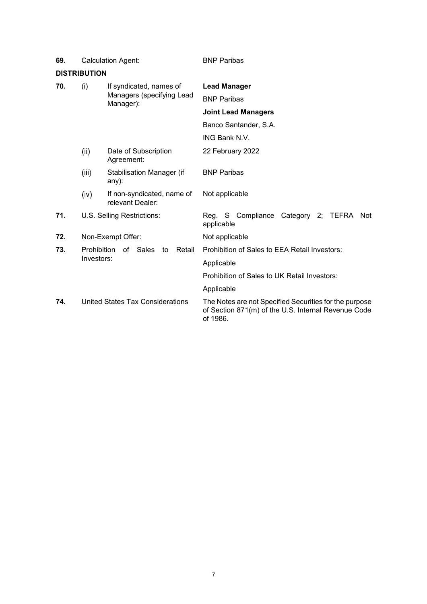| <b>DISTRIBUTION</b> |                                                              |                                                                   |                                                                                                                           |
|---------------------|--------------------------------------------------------------|-------------------------------------------------------------------|---------------------------------------------------------------------------------------------------------------------------|
| 70.                 | (i)                                                          | If syndicated, names of<br>Managers (specifying Lead<br>Manager): | <b>Lead Manager</b>                                                                                                       |
|                     |                                                              |                                                                   | <b>BNP Paribas</b>                                                                                                        |
|                     |                                                              |                                                                   | <b>Joint Lead Managers</b>                                                                                                |
|                     |                                                              |                                                                   | Banco Santander, S.A.                                                                                                     |
|                     |                                                              |                                                                   | ING Bank N.V.                                                                                                             |
|                     | (i)                                                          | Date of Subscription<br>Agreement:                                | 22 February 2022                                                                                                          |
|                     | (iii)                                                        | <b>Stabilisation Manager (if</b><br>any):                         | <b>BNP Paribas</b>                                                                                                        |
|                     | (iv)                                                         | If non-syndicated, name of<br>relevant Dealer:                    | Not applicable                                                                                                            |
| 71.                 |                                                              | U.S. Selling Restrictions:                                        | Reg. S Compliance Category 2; TEFRA Not<br>applicable                                                                     |
| 72.                 |                                                              | Non-Exempt Offer:                                                 | Not applicable                                                                                                            |
| 73.                 | <b>Prohibition</b><br>of Sales<br>Retail<br>to<br>Investors: |                                                                   | Prohibition of Sales to EEA Retail Investors:                                                                             |
|                     |                                                              |                                                                   | Applicable                                                                                                                |
|                     |                                                              |                                                                   | Prohibition of Sales to UK Retail Investors:                                                                              |
|                     |                                                              |                                                                   | Applicable                                                                                                                |
| 74.                 |                                                              | United States Tax Considerations                                  | The Notes are not Specified Securities for the purpose<br>of Section 871(m) of the U.S. Internal Revenue Code<br>of 1986. |

**69.** Calculation Agent: BNP Paribas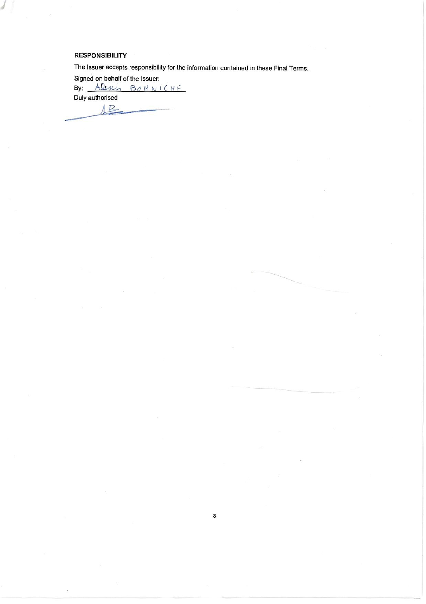### **RESPONSIBILITY**

The Issuer accepts responsibility for the information contained in these Final Terms.

8

Signed on behalf of the Issuer:<br>By: Alexin BORNICHE Duly authorised

 $12$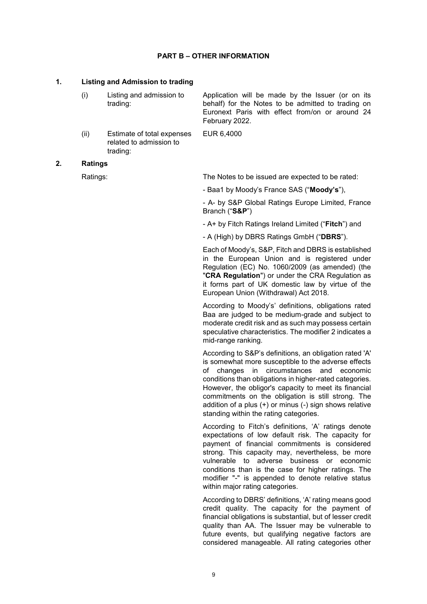### **PART B – OTHER INFORMATION**

### **1. Listing and Admission to trading**

| (i) | Listing and admission to | Application will be made by the Issuer (or on its  |
|-----|--------------------------|----------------------------------------------------|
|     | trading:                 | behalf) for the Notes to be admitted to trading on |
|     |                          | Euronext Paris with effect from/on or around 24    |
|     |                          | February 2022.                                     |

EUR 6,4000

(ii) Estimate of total expenses related to admission to trading:

### **2. Ratings**

Ratings: Ratings: Ratings: The Notes to be issued are expected to be rated:

- Baa1 by Moody's France SAS ("**Moody's**"),

- A- by S&P Global Ratings Europe Limited, France Branch ("**S&P**")

- A+ by Fitch Ratings Ireland Limited ("**Fitch**") and

- A (High) by DBRS Ratings GmbH ("**DBRS**").

Each of Moody's, S&P, Fitch and DBRS is established in the European Union and is registered under Regulation (EC) No. 1060/2009 (as amended) (the "**CRA Regulation**") or under the CRA Regulation as it forms part of UK domestic law by virtue of the European Union (Withdrawal) Act 2018.

According to Moody's' definitions, obligations rated Baa are judged to be medium-grade and subject to moderate credit risk and as such may possess certain speculative characteristics. The modifier 2 indicates a mid-range ranking.

According to S&P's definitions, an obligation rated 'A' is somewhat more susceptible to the adverse effects of changes in circumstances and economic conditions than obligations in higher-rated categories. However, the obligor's capacity to meet its financial commitments on the obligation is still strong. The addition of a plus (+) or minus (-) sign shows relative standing within the rating categories.

According to Fitch's definitions, 'A' ratings denote expectations of low default risk. The capacity for payment of financial commitments is considered strong. This capacity may, nevertheless, be more vulnerable to adverse business or economic conditions than is the case for higher ratings. The modifier "-" is appended to denote relative status within major rating categories.

According to DBRS' definitions, 'A' rating means good credit quality. The capacity for the payment of financial obligations is substantial, but of lesser credit quality than AA. The Issuer may be vulnerable to future events, but qualifying negative factors are considered manageable. All rating categories other